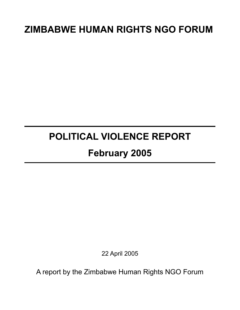# **ZIMBABWE HUMAN RIGHTS NGO FORUM**

# **POLITICAL VIOLENCE REPORT**

## **February 2005**

22 April 2005

A report by the Zimbabwe Human Rights NGO Forum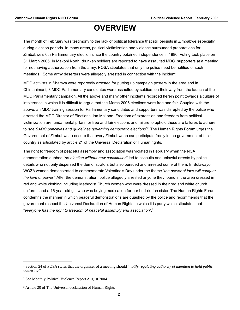## **OVERVIEW**

The month of February was testimony to the lack of political tolerance that still persists in Zimbabwe especially during election periods. In many areas, political victimization and violence surrounded preparations for Zimbabwe's 6th Parliamentary election since the country obtained independence in 1980. Voting took place on 31 March 2005. In Makoni North, drunken soldiers are reported to have assaulted MDC supporters at a meeting for not having authorization from the army. POSA stipulates that only the police need be notified of such meetings.<sup>[1](#page-1-0)</sup> Some army deserters were allegedly arrested in connection with the incident.

MDC activists in Shamva were reportedly arrested for putting up campaign posters in the area and in Chimanimani, 3 MDC Parliamentary candidates were assaulted by soldiers on their way from the launch of the MDC Parliamentary campaign. All the above and many other incidents recorded herein point towards a culture of intolerance in which it is difficult to argue that the March 2005 elections were free and fair. Coupled with the above, an MDC training session for Parliamentary candidates and supporters was disrupted by the police who arrested the MDC Director of Elections, Ian Makone. Freedom of expression and freedom from political victimization are fundamental pillars for free and fair elections and failure to uphold these are failures to adhere to "*the SADC principles and guidelines governing democratic elections[2](#page-1-1) "*. The Human Rights Forum urges the Government of Zimbabwe to ensure that every Zimbabwean can participate freely in the government of their country as articulated by article 21 of the Universal Declaration of Human rights.

The right to freedom of peaceful assembly and association was violated in February when the NCA demonstration dubbed *"no election without new constitution*" led to assaults and unlawful arrests by police details who not only dispersed the demonstrators but also pursued and arrested some of them. In Bulawayo, WOZA women demonstrated to commemorate Valentine's Day under the theme "*the power of love will conquer the love of power"*. After the demonstration, police allegedly arrested anyone they found in the area dressed in red and white clothing including Methodist Church women who were dressed in their red and white church uniforms and a 16-year-old girl who was buying medication for her bed-ridden sister. The Human Rights Forum condemns the manner in which peaceful demonstrations are quashed by the police and recommends that the government respect the Universal Declaration of Human Rights to which it is party which stipulates that "*everyone has the right to freedom of peaceful assembly and association".[3](#page-1-2)*

<span id="page-1-0"></span><sup>1</sup> Section 24 of POSA states that the organiser of a meeting should "*notify regulating authority of intention to hold public gathering"* 

<span id="page-1-1"></span><sup>2</sup> See Monthly Political Violence Report August 2004

<span id="page-1-2"></span><sup>&</sup>lt;sup>3</sup> Article 20 of The Universal declaration of Human Rights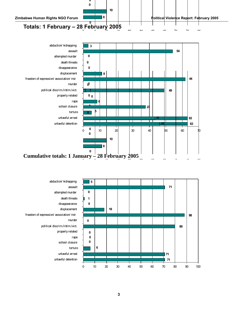

**Cumulative totals: 1 January**  $-$  **28 February 2005** 

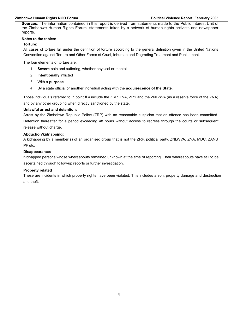**Sources:** The information contained in this report is derived from statements made to the Public Interest Unit of the Zimbabwe Human Rights Forum, statements taken by a network of human rights activists and newspaper reports.

#### **Notes to the tables:**

#### **Torture:**

All cases of torture fall under the definition of torture according to the general definition given in the United Nations Convention against Torture and Other Forms of Cruel, Inhuman and Degrading Treatment and Punishment.

The four elements of torture are:

- 1 **Severe** pain and suffering, whether physical or mental
- 2 **Intentionally** inflicted
- 3 With a **purpose**
- 4 By a state official or another individual acting with the **acquiescence of the State**.

Those individuals referred to in point # 4 include the ZRP, ZNA, ZPS and the ZNLWVA (as a reserve force of the ZNA) and by any other grouping when directly sanctioned by the state.

#### **Unlawful arrest and detention:**

Arrest by the Zimbabwe Republic Police (ZRP) with no reasonable suspicion that an offence has been committed. Detention thereafter for a period exceeding 48 hours without access to redress through the courts or subsequent release without charge.

#### **Abduction/kidnapping:**

A kidnapping by a member(s) of an organised group that is not the ZRP, political party, ZNLWVA, ZNA, MDC, ZANU PF etc.

#### **Disappearance:**

Kidnapped persons whose whereabouts remained unknown at the time of reporting. Their whereabouts have still to be ascertained through follow-up reports or further investigation.

#### **Property related**

These are incidents in which property rights have been violated. This includes arson, property damage and destruction and theft.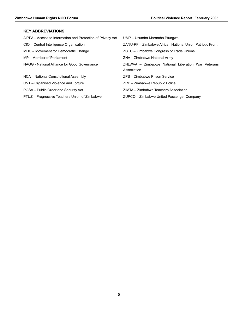#### **KEY ABBREVIATIONS**

| AIPPA – Access to Information and Protection of Privacy Act | UMP - Uzumba Maramba Pfungwe                                      |  |
|-------------------------------------------------------------|-------------------------------------------------------------------|--|
| CIO - Central Intelligence Organisation                     | ZANU-PF – Zimbabwe African National Union Patriotic Front         |  |
| MDC - Movement for Democratic Change                        | ZCTU - Zimbabwe Congress of Trade Unions                          |  |
| MP – Member of Parliament                                   | ZNA – Zimbabwe National Army                                      |  |
| NAGG - National Alliance for Good Governance                | ZNLWVA – Zimbabwe National Liberation War Veterans<br>Association |  |
| NCA - National Constitutional Assembly                      | ZPS - Zimbabwe Prison Service                                     |  |
| OVT – Organised Violence and Torture                        | ZRP - Zimbabwe Republic Police                                    |  |
| POSA - Public Order and Security Act                        | ZIMTA - Zimbabwe Teachers Association                             |  |
| PTUZ - Progressive Teachers Union of Zimbabwe               | ZUPCO – Zimbabwe United Passenger Company                         |  |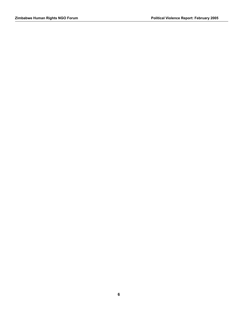**6**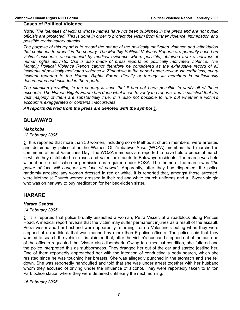#### **Cases of Political Violence**

*Note: The identities of victims whose names have not been published in the press and are not public officials are protected. This is done in order to protect the victim from further violence, intimidation and possible recriminatory attacks.*

*The purpose of this report is to record the nature of the politically motivated violence and intimidation that continues to prevail in the country. The Monthly Political Violence Reports are primarily based on victims' accounts, accompanied by medical evidence where possible, obtained from a network of human rights activists. Use is also made of press reports on politically motivated violence. The Monthly Political Violence Report cannot therefore be considered as the exhaustive record of all incidents of politically motivated violence in Zimbabwe in the period under review. Nevertheless, every incident reported to the Human Rights Forum directly or through its members is meticulously documented and included in the reports.*

*The situation prevailing in the country is such that it has not been possible to verify all of these accounts. The Human Rights Forum has done what it can to verify the reports, and is satisfied that the vast majority of them are substantially true. It is also not possible to rule out whether a victim's account is exaggerated or contains inaccuracies.*

*All reports derived from the press are denoted with the symbol* ∑*.*

#### **BULAWAYO**

#### *Makokoba*

#### *12 February 2005*

∑. It is reported that more than 50 women, including some Methodist church members, were arrested and detained by police after the Women Of Zimbabwe Arise (WOZA) members had marched in commemoration of Valentines Day. The WOZA members are reported to have held a peaceful march in which they distributed red roses and Valentine's cards to Bulawayo residents. The march was held without police notification or permission as required under POSA. The theme of the march was *"the power of love will conquer the love of power".* Apparently, after they had dispersed, the police randomly arrested any woman dressed in red or white. It is reported that, amongst those arrested, were Methodist Church women dressed in their red and white church uniforms and a 16-year-old girl who was on her way to buy medication for her bed-ridden sister.

#### **HARARE**

#### *Harare Central*

#### *14 February 2005*

∑. It is reported that police brutally assaulted a woman, Petra Visser, at a roadblock along Princes Road. A medical report reveals that the victim may suffer permanent injuries as a result of the assault. Petra Visser and her husband were apparently returning from a Valentine's outing when they were stopped at a roadblock that was manned by more than 5 police officers. The police said that they wanted to search the vehicle. It is claimed that, after the victim's husband stepped out of the car, one of the officers requested that Visser also disembark. Owing to a medical condition, she faltered and the police interpreted this as stubbornness. They dragged her out of the car and started jostling her. One of them reportedly approached her with the intention of conducting a body search, which she resisted since he was touching her breasts. She was allegedly punched in the stomach and she fell down. She was reportedly handcuffed and told that she was under arrest together with her husband whom they accused of driving under the influence of alcohol. They were reportedly taken to Milton Park police station where they were detained until early the next morning.

*16 February 2005*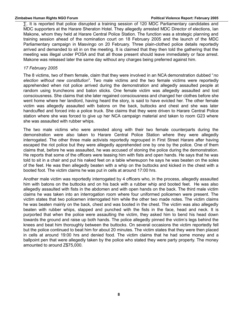#### **Zimbabwe Human Rights NGO Forum Political Violence Report: February 2005**

∑. It is reported that police disrupted a training session of 120 MDC Parliamentary candidates and MDC supporters at the Harare Sheraton Hotel. They allegedly arrested MDC Director of elections, Ian Makone, whom they held at Harare Central Police Station. The function was a strategic planning and training session ahead of the nomination court on 18 February 2005 and the launch of the MDC Parliamentary campaign in Masvingo on 20 February. Three plain-clothed police details reportedly arrived and demanded to sit in on the meeting. It is claimed that they then told the gathering that the meeting was illegal under POSA and that all those present should leave immediately or face arrest. Makone was released later the same day without any charges being preferred against him.

#### *17 February 2005*

The 8 victims, two of them female, claim that they were involved in an NCA demonstration dubbed "*no election without new constitution*". Two male victims and the two female victims were reportedly apprehended when riot police arrived during the demonstration and allegedly assaulted people at random using truncheons and baton sticks. One female victim was allegedly assaulted and lost consciousness. She claims that she later regained consciousness and changed her clothes before she went home where her landlord, having heard the story, is said to have evicted her. The other female victim was allegedly assaulted with batons on the back, buttocks and chest and she was later handcuffed and forced into a police truck. She claims that they were driven to Harare Central Police station where she was forced to give up her NCA campaign material and taken to room G23 where she was assaulted with rubber whips.

The two male victims who were arrested along with their two female counterparts during the demonstration were also taken to Harare Central Police Station where they were allegedly interrogated. The other three male activists reportedly regrouped in First Street Harare after having escaped the riot police but they were allegedly apprehended one by one by the police. One of them claims that, before he was assaulted, he was accused of stoning the police during the demonstration. He reports that some of the officers were teasing him with fists and open hands. He says that he was told to sit in a chair and put his naked feet on a table whereupon he says he was beaten on the soles of the feet. He was then allegedly beaten with a whip on the buttocks and kicked in the chest with a booted foot. The victim claims he was put in cells at around 17:00 hrs.

Another male victim was reportedly interrogated by 4 officers who, in the process, allegedly assaulted him with batons on the buttocks and on his back with a rubber whip and booted feet. He was also allegedly assaulted with fists in the abdomen and with open hands on the back. The third male victim claims he was taken into an interrogation room where four uniformed policemen were present. The victim states that two policemen interrogated him while the other two made notes. The victim claims he was beaten mainly on the back, chest and was booted in the chest. The victim was also allegedly beaten with rubber whips, slapped and punched with the fists in the face, head and neck. It is purported that when the police were assaulting the victim, they asked him to bend his head down towards the ground and raise up both hands. The police allegedly pinned the victim's legs behind the knees and beat him thoroughly between the buttocks. On several occasions the victim reportedly fell but the police continued to beat him for about 20 minutes. The victim states that they were then placed in cells at around 19:00 hrs and denied food. The victim claims that he had some money and a ballpoint pen that were allegedly taken by the police who stated they were party property. The money amounted to around Z\$75,000.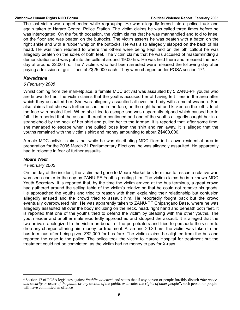#### **Zimbabwe Human Rights NGO Forum Political Violence Report: February 2005**

The last victim was apprehended while regrouping. He was allegedly forced into a police truck and again taken to Harare Central Police Station. The victim claims he was called three times before he was interrogated. On the fourth occasion, the victim claims that he was manhandled and told to kneel on the floor and was beaten on the buttocks. The victim asserts he was beaten with a baton on the right ankle and with a rubber whip on the buttocks. He was also allegedly slapped on the back of his head. He was then returned to where the others were being kept and on the 5th callout he was allegedly beaten on the soles of both feet. The victim claims that he was accused of masterminding a demonstration and was put into the cells at around 19:00 hrs. He was held there and released the next day at around 22:00 hrs. The 7 victims who had been arrested were released the following day after paying admission-of guilt -fines of Z\$25,000 each. They were charged under POSA section 17<sup>[4](#page-8-0)</sup>.

#### *Kuwadzana*

#### *6 February 2005*

Whilst coming from the marketplace, a female MDC activist was assaulted by 5 ZANU-PF youths who are known to her. The victim claims that the youths accused her of having left fliers in the area after which they assaulted her. She was allegedly assaulted all over the body with a metal weapon. She also claims that she was further assaulted in the face, on the right hand and kicked on the left side of the face with booted feet. When she tried to escape she was apparently tripped which caused her to fall. It is reported that the assault thereafter continued and one of the youths allegedly caught her in a stranglehold by the neck of her shirt and pulled her to the tarmac. It is reported that, after some time, she managed to escape when she pulled loose from the shirt and ran away. It is alleged that the youths remained with the victim's shirt and money amounting to about Z\$400,000.

A male MDC activist claims that while he was distributing MDC fliers in his own residential area in preparation for the 2005 March 31 Parliamentary Elections, he was allegedly assaulted. He apparently had to relocate in fear of further assaults.

#### *Mbare West*

#### *4 February 2005*

On the day of the incident, the victim had gone to Mbare Market bus terminus to rescue a relative who was seen earlier in the day by ZANU-PF Youths greeting him. The victim claims he is a known MDC Youth Secretary. It is reported that, by the time the victim arrived at the bus terminus, a great crowd had gathered around the selling table of the victim's relative so that he could not remove his goods. He approached the youths and tried to reason with them explaining their relationship but confusion allegedly ensued and the crowd tried to assault him. He reportedly fought back but the crowd eventually overpowered him. He was apparently taken to ZANU-PF Chipangano Base, where he was allegedly assaulted all over the body including on the neck, head, right hand and beneath both feet. It is reported that one of the youths tried to defend the victim by pleading with the other youths. The youth leader and another male reportedly approached and stopped the assault. It is alleged that the two arrivals apologized to the victim on behalf of the perpetrators and tried to persuade the victim to drop any charges offering him money for treatment. At around 20:30 hrs, the victim was taken to the bus terminus after being given Z\$2,000 for bus fare. The victim claims he alighted from the bus and reported the case to the police. The police took the victim to Harare Hospital for treatment but the treatment could not be completed, as the victim had no money to pay for X-rays.

<span id="page-8-0"></span><sup>4</sup> Section 17 of POSA legislates against **"***public violence***"** and states that if any person or people forcibly disturb **"***the peace and security or order of the public or any section of the public or invades the rights of other people***",** such person or people will have committed an offence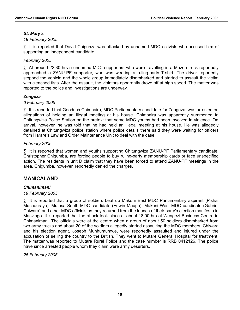#### *St. Mary's*

#### *19 February 2005*

∑. It is reported that David Chipunza was attacked by unnamed MDC activists who accused him of supporting an independent candidate.

#### *February 2005*

∑. At around 22:30 hrs 5 unnamed MDC supporters who were travelling in a Mazda truck reportedly approached a ZANU-PF supporter, who was wearing a ruling-party T-shirt. The driver reportedly stopped the vehicle and the whole group immediately disembarked and started to assault the victim with clenched fists. After the assault, the violators apparently drove off at high speed. The matter was reported to the police and investigations are underway.

#### *Zengeza*

#### *6 February 2005*

∑. It is reported that Goodrich Chimbaira, MDC Parliamentary candidate for Zengeza, was arrested on allegations of holding an illegal meeting at his house. Chimbaira was apparently summoned to Chitungwiza Police Station on the pretext that some MDC youths had been involved in violence. On arrival, however, he was told that he had held an illegal meeting at his house. He was allegedly detained at Chitungwiza police station where police details there said they were waiting for officers from Harare's Law and Order Maintenance Unit to deal with the case.

#### *February 2005*

∑. It is reported that women and youths supporting Chitungwiza ZANU-PF Parliamentary candidate, Christopher Chigumba, are forcing people to buy ruling-party membership cards or face unspecified action. The residents in unit D claim that they have been forced to attend ZANU-PF meetings in the area. Chigumba, however, reportedly denied the charges.

### **MANICALAND**

#### *Chimanimani*

#### *19 February 2005*

∑. It is reported that a group of soldiers beat up Makoni East MDC Parliamentary aspirant (Pishai Muchauraya), Mutasa South MDC candidate (Edwin Maupa), Makoni West MDC candidate (Gabriel Chiwara) and other MDC officials as they returned from the launch of their party's election manifesto in Masvingo. It is reported that the attack took place at about 18:00 hrs at Wengezi Business Centre in Chimanimani. The officials were at the centre when a group of about 50 soldiers disembarked from two army trucks and about 20 of the soldiers allegedly started assaulting the MDC members. Chiwara and his election agent, Joseph Munhumumwe, were reportedly assaulted and injured under the accusation of selling the country to the British. They went to Mutare General Hospital for treatment. The matter was reported to Mutare Rural Police and the case number is RRB 0412126. The police have since arrested people whom they claim were army deserters.

*25 February 2005*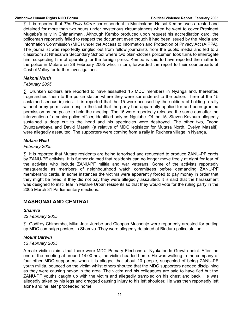∑. It is reported that *The Daily Mirror* correspondent in Manicaland, Netsai Kembo, was arrested and detained for more than two hours under mysterious circumstances when he went to cover President Mugabe's rally in Chimanimani. Although Kembo produced upon request his accreditation card, the policeman reportedly failed to respect the document even though it had been issued by the Media and Information Commission (MIC) under the Access to Information and Protection of Privacy Act (AIPPA). The journalist was reportedly singled out from fellow journalists from the public media and led to a classroom at Nhedziwa Secondary School where two plain-clothes policemen took turns to interrogate him, suspecting him of operating for the foreign press. Kembo is said to have reported the matter to the police in Mutare on 28 February 2005 who, in turn, forwarded the report to their counterparts at Cashel Valley for further investigations.

#### *Makoni North*

#### *February 2005*

∑. Drunken soldiers are reported to have assaulted 15 MDC members in Nyanga and, thereafter, frogmarched them to the police station where they were surrendered to the police. Three of the 15 sustained serious injuries. It is reported that the 15 were accused by the soldiers of holding a rally without army permission despite the fact that the party had apparently applied for and been granted permission by the police to hold the meeting. The 15 were reportedly released the same day after the intervention of a senior police officer, identified only as Ngulube. Of the 15, Steven Kavhura allegedly sustained a deep cut to the head and his spectacles were destroyed. The other two, Taona Bvunzawabaya and David Masaiti (a relative of MDC legislator for Mutasa North, Evelyn Masaiti), were allegedly assaulted. The supporters were coming from a rally in Ruchera village in Nyanga.

#### *Mutare West*

#### *February 2005*

∑. It is reported that Mutare residents are being terrorised and requested to produce ZANU-PF cards by ZANU-PF activists. It is further claimed that residents can no longer move freely at night for fear of the activists who include ZANU-PF militia and war veterans. Some of the activists reportedly masquerade as members of neighbourhood watch committees before demanding ZANU-PF membership cards. In some instances the victims were apparently forced to pay money in order that they might be freed: if they did not pay they were allegedly assaulted. It is said that the harassment was designed to instil fear in Mutare Urban residents so that they would vote for the ruling party in the 2005 March 31 Parliamentary elections.

### **MASHONALAND CENTRAL**

#### *Shamva*

#### *22 February 2005*

∑. Godfrey Chimombe, Mika Jack Jumbe and Cleopas Muchenje were reportedly arrested for putting up MDC campaign posters in Shamva. They were allegedly detained at Bindura police station.

#### *Mount Darwin*

#### *13 February 2005*

A male victim claims that there were MDC Primary Elections at Nyakatondo Growth point. After the end of the meeting at around 14:00 hrs, the victim headed home. He was walking in the company of four other MDC supporters when it is alleged that about 10 people, suspected of being ZANU-PF youth militia, pounced on the victim whilst others shouted that the MDC supporters needed disciplining as they were causing havoc in the area. The victim and his colleagues are said to have fled but the ZANU-PF youths caught up with the victim and allegedly trampled on his chest and back. He was allegedly taken by his legs and dragged causing injury to his left shoulder. He was then reportedly left alone and he later proceeded home.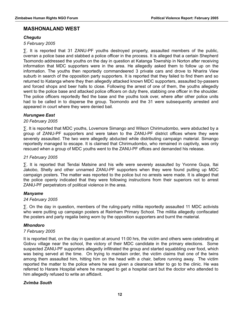#### **MASHONALAND WEST**

#### *Chegutu*

#### *5 February 2005*

∑. It is reported that 31 ZANU-PF youths destroyed property, assaulted members of the public, overran a police base and stabbed a police officer in the process. It is alleged that a certain Shepherd Tsomondo addressed the youths on the day in question at Katanga Township in Norton after receiving information that MDC supporters were in the area. He allegedly asked them to follow up on the information. The youths then reportedly commandeered 3 private cars and drove to Nharira View suburb in search of the opposition party supporters. It is reported that they failed to find them and so returned to Katanga where they then allegedly attacked known MDC supporters, assaulted by-passers and forced shops and beer halls to close. Following the arrest of one of them, the youths allegedly went to the police base and attacked police officers on duty there, stabbing one officer in the shoulder. The police officers reportedly fled the base and the youths took over, where after other police units had to be called in to disperse the group. Tsomondo and the 31 were subsequently arrested and appeared in court where they were denied bail.

#### *Hurungwe East*

#### *20 February 2005*

∑. It is reported that MDC youths, Lovemore Simango and Wilson Chirimudombo, were abducted by a group of ZANU-PF supporters and were taken to the ZANU-PF district offices where they were severely assaulted. The two were allegedly abducted while distributing campaign material. Simango reportedly managed to escape. It is claimed that Chirimudombo, who remained in captivity, was only rescued when a group of MDC youths went to the ZANU-PF offices and demanded his release.

#### *21 February 2005*

∑. It is reported that Tendai Matsine and his wife were severely assaulted by Yvonne Gupa, Itai Jakobo, Shelly and other unnamed ZANU-PF supporters when they were found putting up MDC campaign posters. The matter was reported to the police but no arrests were made. It is alleged that the police openly indicated that they were following instructions from their superiors not to arrest ZANU-PF perpetrators of political violence in the area.

#### *Manyame*

#### *24 February 2005*

∑. On the day in question, members of the ruling-party militia reportedly assaulted 11 MDC activists who were putting up campaign posters at Reinham Primary School. The militia allegedly confiscated the posters and party regalia being worn by the opposition supporters and burnt the material.

#### *Mhondoro*

#### *7 February 2005*

It is reported that, on the day in question at around 11:00 hrs, the victim and others were celebrating at Gobvu village near the school, the victory of their MDC candidate in the primary elections. Some suspected ZANU-PF supporters allegedly infiltrated the group and started squabbling over food, which was being served at the time. On trying to maintain order, the victim claims that one of the twins among them assaulted him, hitting him on the head with a chair, before running away. The victim reported the matter to the police where he was given a clearance letter to go to the clinic. He was referred to Harare Hospital where he managed to get a hospital card but the doctor who attended to him allegedly refused to write an affidavit.

#### *Zvimba South*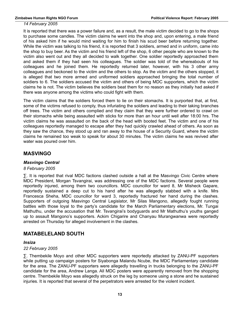#### *14 February 2005*

It is reported that there was a power failure and, as a result, the male victim decided to go to the shops to purchase some candles. The victim claims he went into the shop and, upon entering, a male friend of his asked him if he would mind waiting for him to finish his scud beer before returning together. While the victim was talking to his friend, it is reported that 3 soldiers, armed and in uniform, came into the shop to buy beer. As the victim and his friend left of the shop, 6 other people who are known to the victim also went out and they all decided to walk together. One soldier reportedly approached them and asked them if they had seen his colleagues. The soldier was told of the whereabouts of his colleagues and he joined them. He reportedly returned later, however, with his 3 other army colleagues and beckoned to the victim and the others to stop. As the victim and the others stopped, it is alleged that two more armed and uniformed soldiers approached bringing the total number of soldiers to 6. The soldiers accused the victim and others of being MDC supporters, which the victim claims he is not. The victim believes the soldiers beat them for no reason as they initially had asked if there was anyone among the victims who could fight with them.

The victim claims that the soldiers forced them to lie on their stomachs. It is purported that, at first, some of the victims refused to comply, thus infuriating the soldiers and leading to their taking branches off trees. The victim and others complied and they claim that they were further ordered to crawl on their stomachs while being assaulted with sticks for more than an hour until well after 18:00 hrs. The victim claims he was assaulted on the back of the head with booted feet. The victim and one of his colleagues reportedly managed to escape after they had quickly crawled ahead of others. As soon as they saw the chance, they stood up and ran away to the house of a Security Guard, where the victim claims he remained too weak to speak for about 30 minutes. The victim claims he was revived after water was poured over him.

### **MASVINGO**

#### *Masvingo Central*

#### *8 February 2005*

∑. It is reported that rival MDC factions clashed outside a hall at the Masvingo Civic Centre where MDC President, Morgan Tsvangirai, was addressing one of the MDC factions. Several people were reportedly injured, among them two councillors. MDC councillor for ward 8, Mr Misheck Gapare, reportedly sustained a deep cut to his hand after he was allegedly stabbed with a knife. Mrs Francesca Sheha, MDC councillor for ward 3, reportedly fractured her hand during the clashes. Supporters of outgoing Masvingo Central Legislator, Mr Silas Mangono, allegedly fought running battles with those loyal to the party's candidate for the March Parliamentary elections, Mr. Tungai Mathuthu, under the accusation that Mr. Tsvangirai's bodyguards and Mr Mathuthu's youths ganged up to assault Mangono's supporters. Ackim Chigarire and Chanyau Murangwanwa were reportedly arrested on Thursday for alleged involvement in the clashes.

#### **MATABELELAND SOUTH**

#### *Insiza*

#### *22 February 2005*

∑. Thembekile Moyo and other MDC supporters were reportedly attacked by ZANU-PF supporters while putting up campaign posters for Siyabonga Malandu Ncube, the MDC Parliamentary candidate for the area. The ZANU-PF supporters were allegedly travelling in trucks belonging to the ZANU-PF candidate for the area, Andrew Langa. All MDC posters were apparently removed from the shopping centre. Thembekile Moyo was allegedly struck on the leg by someone using a stone and he sustained injuries. It is reported that several of the perpetrators were arrested for the violent incident.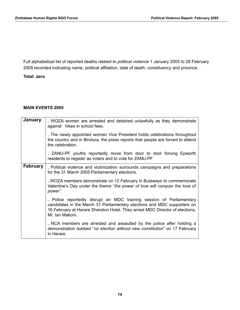Full alphabetical list of reported deaths related to political violence 1 January 2005 to 28 February 2005 recorded indicating name, political affiliation, date of death, constituency and province.

#### **Total: zero**

#### **MAIN EVENTS 2005**

| <b>January</b>  | . WOZA women are arrested and detained unlawfully as they demonstrate<br>against hikes in school fees.                                                                                                                                              |  |  |  |  |
|-----------------|-----------------------------------------------------------------------------------------------------------------------------------------------------------------------------------------------------------------------------------------------------|--|--|--|--|
|                 | . The newly appointed woman Vice President holds celebrations throughout<br>the country and in Bindura, the press reports that people are forced to attend<br>the celebration.                                                                      |  |  |  |  |
|                 | . ZANU-PF youths reportedly move from door to door forcing Epworth<br>residents to register as voters and to vote for ZANU-PF                                                                                                                       |  |  |  |  |
| <b>February</b> | . Political violence and victimization surrounds campaigns and preparations<br>for the 31 March 2005 Parliamentary elections.                                                                                                                       |  |  |  |  |
|                 | . WOZA members demonstrate on 12 February in Bulawayo to commemorate<br>Valentine's Day under the theme "the power of love will conquer the love of<br>power".                                                                                      |  |  |  |  |
|                 | . Police reportedly disrupt an MDC training session of Parliamentary<br>candidates in the March 31 Parliamentary elections and MDC supporters on<br>16 February at Harare Sheraton Hotel. They arrest MDC Director of elections,<br>Mr. Ian Makoni. |  |  |  |  |
|                 | . NCA members are arrested and assaulted by the police after holding a<br>demonstration dubbed "no election without new constitution" on 17 February<br>in Harare.                                                                                  |  |  |  |  |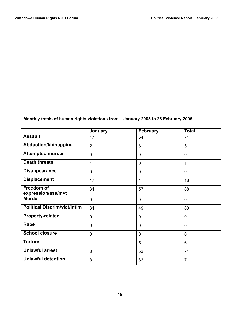#### **Monthly totals of human rights violations from 1 January 2005 to 28 February 2005**

|                                     | <b>January</b> | February       | <b>Total</b>   |
|-------------------------------------|----------------|----------------|----------------|
| <b>Assault</b>                      | 17             | 54             | 71             |
| <b>Abduction/kidnapping</b>         | $\overline{2}$ | 3              | 5              |
| <b>Attempted murder</b>             | $\mathbf 0$    | $\mathbf 0$    | $\mathbf 0$    |
| <b>Death threats</b>                | 1              | $\mathbf 0$    | 1              |
| <b>Disappearance</b>                | 0              | $\overline{0}$ | $\overline{0}$ |
| <b>Displacement</b>                 | 17             | 1              | 18             |
| Freedom of<br>expression/ass/mvt    | 31             | 57             | 88             |
| <b>Murder</b>                       | $\mathbf 0$    | $\overline{0}$ | $\overline{0}$ |
| <b>Political Discrim/vict/intim</b> | 31             | 49             | 80             |
| <b>Property-related</b>             | 0              | $\mathbf 0$    | $\overline{0}$ |
| Rape                                | 0              | $\mathbf 0$    | $\overline{0}$ |
| <b>School closure</b>               | $\mathbf 0$    | $\mathbf 0$    | $\overline{0}$ |
| <b>Torture</b>                      | 1              | 5              | 6              |
| <b>Unlawful arrest</b>              | 8              | 63             | 71             |
| <b>Unlawful detention</b>           | 8              | 63             | 71             |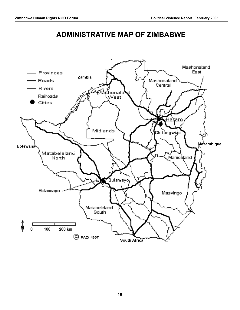## **ADMINISTRATIVE MAP OF ZIMBABWE**